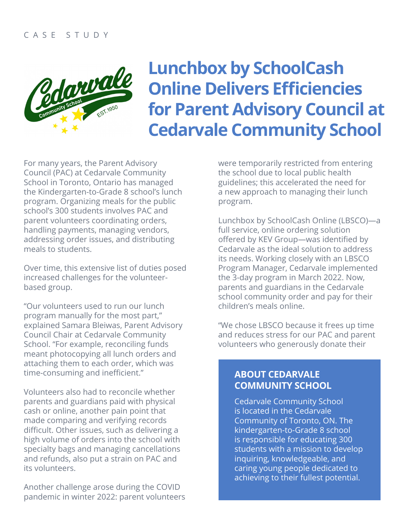

# **Lunchbox by SchoolCash Online Delivers Efficiencies for Parent Advisory Council at Cedarvale Community School**

For many years, the Parent Advisory Council (PAC) at Cedarvale Community School in Toronto, Ontario has managed the Kindergarten-to-Grade 8 school's lunch program. Organizing meals for the public school's 300 students involves PAC and parent volunteers coordinating orders, handling payments, managing vendors, addressing order issues, and distributing meals to students.

Over time, this extensive list of duties posed increased challenges for the volunteerbased group.

"Our volunteers used to run our lunch program manually for the most part," explained Samara Bleiwas, Parent Advisory Council Chair at Cedarvale Community School. "For example, reconciling funds meant photocopying all lunch orders and attaching them to each order, which was time-consuming and inefficient."

Volunteers also had to reconcile whether parents and guardians paid with physical cash or online, another pain point that made comparing and verifying records difficult. Other issues, such as delivering a high volume of orders into the school with specialty bags and managing cancellations and refunds, also put a strain on PAC and its volunteers.

Another challenge arose during the COVID pandemic in winter 2022: parent volunteers were temporarily restricted from entering the school due to local public health guidelines; this accelerated the need for a new approach to managing their lunch program.

Lunchbox by SchoolCash Online (LBSCO)—a full service, online ordering solution offered by KEV Group—was identified by Cedarvale as the ideal solution to address its needs. Working closely with an LBSCO Program Manager, Cedarvale implemented the 3-day program in March 2022. Now, parents and guardians in the Cedarvale school community order and pay for their children's meals online.

"We chose LBSCO because it frees up time and reduces stress for our PAC and parent volunteers who generously donate their

#### **ABOUT CEDARVALE COMMUNITY SCHOOL**

Cedarvale Community School is located in the Cedarvale Community of Toronto, ON. The kindergarten-to-Grade 8 school is responsible for educating 300 students with a mission to develop inquiring, knowledgeable, and caring young people dedicated to achieving to their fullest potential.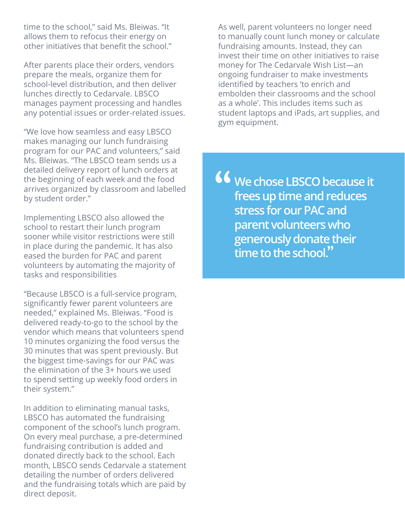time to the school," said Ms. Bleiwas. "It allows them to refocus their energy on other initiatives that benefit the school."

After parents place their orders, vendors prepare the meals, organize them for school-level distribution, and then deliver lunches directly to Cedarvale. LBSCO manages payment processing and handles any potential issues or order-related issues.

"We love how seamless and easy LBSCO makes managing our lunch fundraising program for our PAC and volunteers," said Ms. Bleiwas. "The LBSCO team sends us a detailed delivery report of lunch orders at the beginning of each week and the food arrives organized by classroom and labelled by student order."

Implementing LBSCO also allowed the school to restart their lunch program sooner while visitor restrictions were still in place during the pandemic. It has also eased the burden for PAC and parent volunteers by automating the majority of tasks and responsibilities

"Because LBSCO is a full-service program, significantly fewer parent volunteers are needed," explained Ms. Bleiwas. "Food is delivered ready-to-go to the school by the vendor which means that volunteers spend 10 minutes organizing the food versus the 30 minutes that was spent previously. But the biggest time-savings for our PAC was the elimination of the 3+ hours we used to spend setting up weekly food orders in their system."

In addition to eliminating manual tasks, LBSCO has automated the fundraising component of the school's lunch program. On every meal purchase, a pre-determined fundraising contribution is added and donated directly back to the school. Each month, LBSCO sends Cedarvale a statement detailing the number of orders delivered and the fundraising totals which are paid by direct deposit.

As well, parent volunteers no longer need to manually count lunch money or calculate fundraising amounts. Instead, they can invest their time on other initiatives to raise money for The Cedarvale Wish List—an ongoing fundraiser to make investments identified by teachers 'to enrich and embolden their classrooms and the school as a whole'. This includes items such as student laptops and iPads, art supplies, and gym equipment.

**We chose LBSCO because it frees up time and reduces stress for our PAC and parent volunteers who generously donate their time to the school.**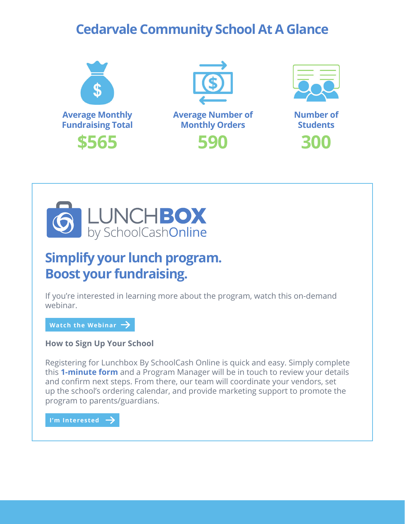### **Cedarvale Community School At A Glance**







**590 300 Number of Students**



## **Simplify your lunch program. Boost your fundraising.**

If you're interested in learning more about the program, watch this on-demand webinar.

[Watch the Webinar](https://share.vidyard.com/watch/fj3cc9k3YQN6yfTBP8x14K?)  **Watch the Webinar**

**How to Sign Up Your School**

Registering for Lunchbox By SchoolCash Online is quick and easy. Simply complete this **[1-minute form](https://www2.kevgroup.com/l/828223/2022-01-11/89yft)** and a Program Manager will be in touch to review your details and confirm next steps. From there, our team will coordinate your vendors, set up the school's ordering calendar, and provide marketing support to promote the program to parents/guardians.